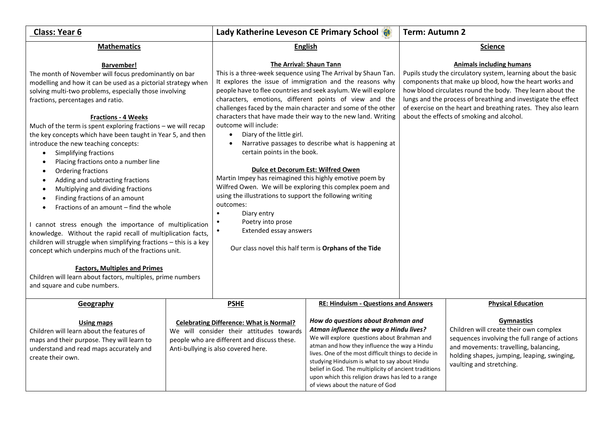| <b>Class: Year 6</b>                                                                                                                                                                                                                                                                                                                                                                                                                                                                                                                                                                                                                                                                                                                                                                                                                                                                                                                                                                                                                               |                                                                                                                                                                                  | Lady Katherine Leveson CE Primary School                                                                                                                                                                                                                                                                                                                                                                                                                                                                                                                                                                                                                                                                                                                                                                                                                                                                                                                          |                                                                                                                                                                                                                                                                                                                                                                                                                                       | <b>Term: Autumn 2</b>                                                                                                                                                                                                                                                                                                                                                                                  |                                                                                                                                                                                                                                  |
|----------------------------------------------------------------------------------------------------------------------------------------------------------------------------------------------------------------------------------------------------------------------------------------------------------------------------------------------------------------------------------------------------------------------------------------------------------------------------------------------------------------------------------------------------------------------------------------------------------------------------------------------------------------------------------------------------------------------------------------------------------------------------------------------------------------------------------------------------------------------------------------------------------------------------------------------------------------------------------------------------------------------------------------------------|----------------------------------------------------------------------------------------------------------------------------------------------------------------------------------|-------------------------------------------------------------------------------------------------------------------------------------------------------------------------------------------------------------------------------------------------------------------------------------------------------------------------------------------------------------------------------------------------------------------------------------------------------------------------------------------------------------------------------------------------------------------------------------------------------------------------------------------------------------------------------------------------------------------------------------------------------------------------------------------------------------------------------------------------------------------------------------------------------------------------------------------------------------------|---------------------------------------------------------------------------------------------------------------------------------------------------------------------------------------------------------------------------------------------------------------------------------------------------------------------------------------------------------------------------------------------------------------------------------------|--------------------------------------------------------------------------------------------------------------------------------------------------------------------------------------------------------------------------------------------------------------------------------------------------------------------------------------------------------------------------------------------------------|----------------------------------------------------------------------------------------------------------------------------------------------------------------------------------------------------------------------------------|
| <b>Mathematics</b>                                                                                                                                                                                                                                                                                                                                                                                                                                                                                                                                                                                                                                                                                                                                                                                                                                                                                                                                                                                                                                 |                                                                                                                                                                                  | <b>English</b>                                                                                                                                                                                                                                                                                                                                                                                                                                                                                                                                                                                                                                                                                                                                                                                                                                                                                                                                                    |                                                                                                                                                                                                                                                                                                                                                                                                                                       | <b>Science</b>                                                                                                                                                                                                                                                                                                                                                                                         |                                                                                                                                                                                                                                  |
| <b>Barvember!</b><br>The month of November will focus predominantly on bar<br>modelling and how it can be used as a pictorial strategy when<br>solving multi-two problems, especially those involving<br>fractions, percentages and ratio.<br><b>Fractions - 4 Weeks</b><br>Much of the term is spent exploring fractions $-$ we will recap<br>the key concepts which have been taught in Year 5, and then<br>introduce the new teaching concepts:<br>Simplifying fractions<br>$\bullet$<br>Placing fractions onto a number line<br>$\bullet$<br>Ordering fractions<br>$\bullet$<br>Adding and subtracting fractions<br>$\bullet$<br>Multiplying and dividing fractions<br>$\bullet$<br>Finding fractions of an amount<br>$\bullet$<br>Fractions of an amount – find the whole<br>$\bullet$<br>I cannot stress enough the importance of multiplication<br>knowledge. Without the rapid recall of multiplication facts,<br>children will struggle when simplifying fractions - this is a key<br>concept which underpins much of the fractions unit. |                                                                                                                                                                                  | <b>The Arrival: Shaun Tann</b><br>This is a three-week sequence using The Arrival by Shaun Tan.<br>It explores the issue of immigration and the reasons why<br>people have to flee countries and seek asylum. We will explore<br>characters, emotions, different points of view and the<br>challenges faced by the main character and some of the other<br>characters that have made their way to the new land. Writing<br>outcome will include:<br>Diary of the little girl.<br>$\bullet$<br>Narrative passages to describe what is happening at<br>certain points in the book.<br><b>Dulce et Decorum Est: Wilfred Owen</b><br>Martin Impey has reimagined this highly emotive poem by<br>Wilfred Owen. We will be exploring this complex poem and<br>using the illustrations to support the following writing<br>outcomes:<br>$\bullet$<br>Diary entry<br>Poetry into prose<br>Extended essay answers<br>Our class novel this half term is Orphans of the Tide |                                                                                                                                                                                                                                                                                                                                                                                                                                       | <b>Animals including humans</b><br>Pupils study the circulatory system, learning about the basic<br>components that make up blood, how the heart works and<br>how blood circulates round the body. They learn about the<br>lungs and the process of breathing and investigate the effect<br>of exercise on the heart and breathing rates. They also learn<br>about the effects of smoking and alcohol. |                                                                                                                                                                                                                                  |
| <b>Factors, Multiples and Primes</b><br>Children will learn about factors, multiples, prime numbers<br>and square and cube numbers.                                                                                                                                                                                                                                                                                                                                                                                                                                                                                                                                                                                                                                                                                                                                                                                                                                                                                                                |                                                                                                                                                                                  |                                                                                                                                                                                                                                                                                                                                                                                                                                                                                                                                                                                                                                                                                                                                                                                                                                                                                                                                                                   |                                                                                                                                                                                                                                                                                                                                                                                                                                       |                                                                                                                                                                                                                                                                                                                                                                                                        |                                                                                                                                                                                                                                  |
| Geography                                                                                                                                                                                                                                                                                                                                                                                                                                                                                                                                                                                                                                                                                                                                                                                                                                                                                                                                                                                                                                          |                                                                                                                                                                                  | <b>PSHE</b>                                                                                                                                                                                                                                                                                                                                                                                                                                                                                                                                                                                                                                                                                                                                                                                                                                                                                                                                                       | <b>RE: Hinduism - Questions and Answers</b>                                                                                                                                                                                                                                                                                                                                                                                           |                                                                                                                                                                                                                                                                                                                                                                                                        | <b>Physical Education</b>                                                                                                                                                                                                        |
| Using maps<br>Children will learn about the features of<br>maps and their purpose. They will learn to<br>understand and read maps accurately and<br>create their own.                                                                                                                                                                                                                                                                                                                                                                                                                                                                                                                                                                                                                                                                                                                                                                                                                                                                              | <b>Celebrating Difference: What is Normal?</b><br>We will consider their attitudes towards<br>people who are different and discuss these.<br>Anti-bullying is also covered here. |                                                                                                                                                                                                                                                                                                                                                                                                                                                                                                                                                                                                                                                                                                                                                                                                                                                                                                                                                                   | How do questions about Brahman and<br>Atman influence the way a Hindu lives?<br>We will explore questions about Brahman and<br>atman and how they influence the way a Hindu<br>lives. One of the most difficult things to decide in<br>studying Hinduism is what to say about Hindu<br>belief in God. The multiplicity of ancient traditions<br>upon which this religion draws has led to a range<br>of views about the nature of God |                                                                                                                                                                                                                                                                                                                                                                                                        | <b>Gymnastics</b><br>Children will create their own complex<br>sequences involving the full range of actions<br>and movements: travelling, balancing,<br>holding shapes, jumping, leaping, swinging,<br>vaulting and stretching. |